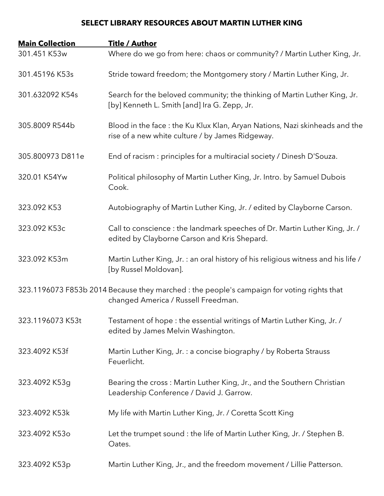## **SELECT LIBRARY RESOURCES ABOUT MARTIN LUTHER KING**

| <b>Main Collection</b> | <b>Title / Author</b>                                                                                                             |
|------------------------|-----------------------------------------------------------------------------------------------------------------------------------|
| 301.451 K53w           | Where do we go from here: chaos or community? / Martin Luther King, Jr.                                                           |
| 301.45196 K53s         | Stride toward freedom; the Montgomery story / Martin Luther King, Jr.                                                             |
| 301.632092 K54s        | Search for the beloved community; the thinking of Martin Luther King, Jr.<br>[by] Kenneth L. Smith [and] Ira G. Zepp, Jr.         |
| 305.8009 R544b         | Blood in the face: the Ku Klux Klan, Aryan Nations, Nazi skinheads and the<br>rise of a new white culture / by James Ridgeway.    |
| 305.800973 D811e       | End of racism: principles for a multiracial society / Dinesh D'Souza.                                                             |
| 320.01 K54Yw           | Political philosophy of Martin Luther King, Jr. Intro. by Samuel Dubois<br>Cook.                                                  |
| 323.092 K53            | Autobiography of Martin Luther King, Jr. / edited by Clayborne Carson.                                                            |
| 323.092 K53c           | Call to conscience : the landmark speeches of Dr. Martin Luther King, Jr. /<br>edited by Clayborne Carson and Kris Shepard.       |
| 323.092 K53m           | Martin Luther King, Jr. : an oral history of his religious witness and his life /<br>[by Russel Moldovan].                        |
|                        | 323.1196073 F853b 2014 Because they marched : the people's campaign for voting rights that<br>changed America / Russell Freedman. |
| 323.1196073 K53t       | Testament of hope: the essential writings of Martin Luther King, Jr. /<br>edited by James Melvin Washington.                      |
| 323.4092 K53f          | Martin Luther King, Jr. : a concise biography / by Roberta Strauss<br>Feuerlicht.                                                 |
| 323.4092 K53g          | Bearing the cross: Martin Luther King, Jr., and the Southern Christian<br>Leadership Conference / David J. Garrow.                |
| 323.4092 K53k          | My life with Martin Luther King, Jr. / Coretta Scott King                                                                         |
| 323.4092 K53o          | Let the trumpet sound : the life of Martin Luther King, Jr. / Stephen B.<br>Oates.                                                |
| 323.4092 K53p          | Martin Luther King, Jr., and the freedom movement / Lillie Patterson.                                                             |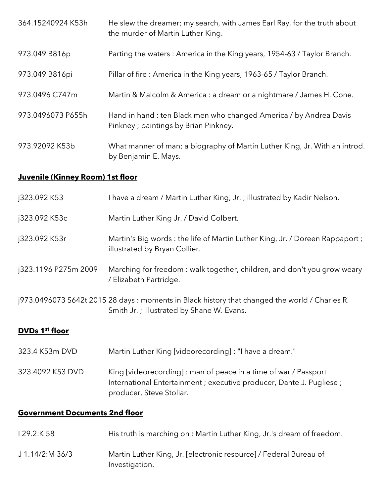| 364.15240924 K53h | He slew the dreamer; my search, with James Earl Ray, for the truth about<br>the murder of Martin Luther King. |
|-------------------|---------------------------------------------------------------------------------------------------------------|
| 973.049 B816p     | Parting the waters: America in the King years, 1954-63 / Taylor Branch.                                       |
| 973.049 B816pi    | Pillar of fire: America in the King years, 1963-65 / Taylor Branch.                                           |
| 973.0496 C747m    | Martin & Malcolm & America : a dream or a nightmare / James H. Cone.                                          |
| 973.0496073 P655h | Hand in hand: ten Black men who changed America / by Andrea Davis<br>Pinkney ; paintings by Brian Pinkney.    |
| 973.92092 K53b    | What manner of man; a biography of Martin Luther King, Jr. With an introd.<br>by Benjamin E. Mays.            |

# **Juvenile (Kinney Room) 1st floor**

| j323.092 K53                          | I have a dream / Martin Luther King, Jr.; illustrated by Kadir Nelson.                                                                                               |  |
|---------------------------------------|----------------------------------------------------------------------------------------------------------------------------------------------------------------------|--|
| j323.092 K53c                         | Martin Luther King Jr. / David Colbert.                                                                                                                              |  |
| j323.092 K53r                         | Martin's Big words: the life of Martin Luther King, Jr. / Doreen Rappaport;<br>illustrated by Bryan Collier.                                                         |  |
| j323.1196 P275m 2009                  | Marching for freedom: walk together, children, and don't you grow weary<br>/ Elizabeth Partridge.                                                                    |  |
|                                       | j973.0496073 S642t 2015 28 days: moments in Black history that changed the world / Charles R.<br>Smith Jr.; illustrated by Shane W. Evans.                           |  |
| DVDs 1 <sup>st</sup> floor            |                                                                                                                                                                      |  |
| 323.4 K53m DVD                        | Martin Luther King [videorecording] : "I have a dream."                                                                                                              |  |
| 323.4092 K53 DVD                      | King [videorecording]: man of peace in a time of war / Passport<br>International Entertainment ; executive producer, Dante J. Pugliese ;<br>producer, Steve Stoliar. |  |
| <b>Government Documents 2nd floor</b> |                                                                                                                                                                      |  |

- I 29.2:K 58 His truth is marching on : Martin Luther King, Jr.'s dream of freedom.
- J 1.14/2:M 36/3 Martin Luther King, Jr. [electronic resource] / Federal Bureau of Investigation.